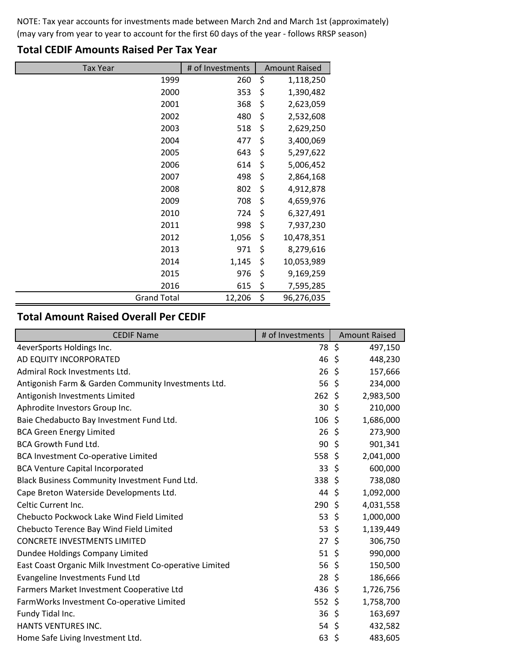NOTE: Tax year accounts for investments made between March 2nd and March 1st (approximately) (may vary from year to year to account for the first 60 days of the year - follows RRSP season)

| <b>Tax Year</b>    | # of Investments | <b>Amount Raised</b> |            |
|--------------------|------------------|----------------------|------------|
| 1999               | 260              | \$                   | 1,118,250  |
| 2000               | 353              | \$                   | 1,390,482  |
| 2001               | 368              | \$                   | 2,623,059  |
| 2002               | 480              | \$                   | 2,532,608  |
| 2003               | 518              | \$                   | 2,629,250  |
| 2004               | 477              | \$                   | 3,400,069  |
| 2005               | 643              | \$                   | 5,297,622  |
| 2006               | 614              | \$                   | 5,006,452  |
| 2007               | 498              | \$                   | 2,864,168  |
| 2008               | 802              | \$                   | 4,912,878  |
| 2009               | 708              | \$                   | 4,659,976  |
| 2010               | 724              | \$                   | 6,327,491  |
| 2011               | 998              | \$                   | 7,937,230  |
| 2012               | 1,056            | \$                   | 10,478,351 |
| 2013               | 971              | \$                   | 8,279,616  |
| 2014               | 1,145            | \$                   | 10,053,989 |
| 2015               | 976              | \$                   | 9,169,259  |
| 2016               | 615              | \$                   | 7,595,285  |
| <b>Grand Total</b> | 12,206           | \$                   | 96,276,035 |

## **Total CEDIF Amounts Raised Per Tax Year**

## **Total Amount Raised Overall Per CEDIF**

| <b>CEDIF Name</b>                                       | # of Investments | <b>Amount Raised</b> |
|---------------------------------------------------------|------------------|----------------------|
| 4everSports Holdings Inc.                               | 78 \$            | 497,150              |
| AD EQUITY INCORPORATED                                  | 46               | 448,230<br>\$        |
| Admiral Rock Investments Ltd.                           | 26               | \$<br>157,666        |
| Antigonish Farm & Garden Community Investments Ltd.     | 56 <sup>5</sup>  | 234,000              |
| Antigonish Investments Limited                          | $262 \;$ \$      | 2,983,500            |
| Aphrodite Investors Group Inc.                          | 30               | Ŝ.<br>210,000        |
| Baie Chedabucto Bay Investment Fund Ltd.                | 106              | 1,686,000<br>\$      |
| <b>BCA Green Energy Limited</b>                         | 26               | \$<br>273,900        |
| <b>BCA Growth Fund Ltd.</b>                             | 90               | 901,341<br>\$        |
| <b>BCA Investment Co-operative Limited</b>              | 558 \$           | 2,041,000            |
| <b>BCA Venture Capital Incorporated</b>                 | 33               | 600,000<br>\$        |
| Black Business Community Investment Fund Ltd.           | 338 \$           | 738,080              |
| Cape Breton Waterside Developments Ltd.                 | 44               | 1,092,000<br>\$.     |
| Celtic Current Inc.                                     | 290              | 4,031,558<br>S       |
| Chebucto Pockwock Lake Wind Field Limited               | 53               | $\zeta$<br>1,000,000 |
| Chebucto Terence Bay Wind Field Limited                 | 53 \$            | 1,139,449            |
| <b>CONCRETE INVESTMENTS LIMITED</b>                     | 27               | \$<br>306,750        |
| Dundee Holdings Company Limited                         | 51               | -\$<br>990,000       |
| East Coast Organic Milk Investment Co-operative Limited | 56               | \$<br>150,500        |
| Evangeline Investments Fund Ltd                         | 28               | \$<br>186,666        |
| Farmers Market Investment Cooperative Ltd               | 436 \$           | 1,726,756            |
| FarmWorks Investment Co-operative Limited               | $552$ \$         | 1,758,700            |
| Fundy Tidal Inc.                                        | 36               | 163,697<br>\$        |
| HANTS VENTURES INC.                                     | 54 \$            | 432,582              |
| Home Safe Living Investment Ltd.                        | 63               | 483,605<br>-\$       |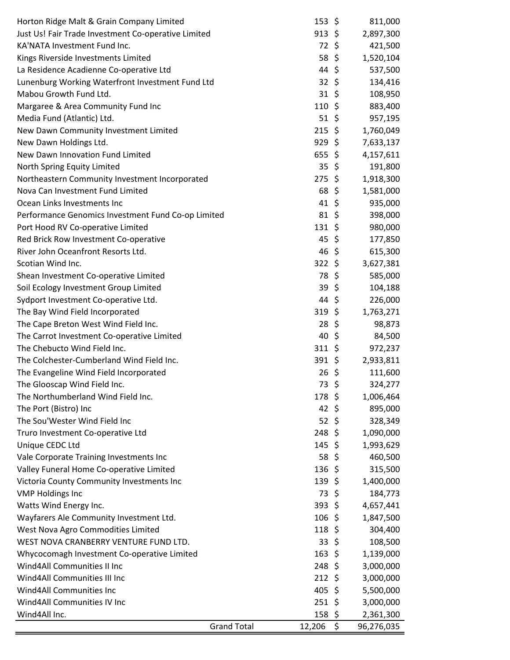| Horton Ridge Malt & Grain Company Limited           |                    | $153 \; \xi$     |             | 811,000    |
|-----------------------------------------------------|--------------------|------------------|-------------|------------|
| Just Us! Fair Trade Investment Co-operative Limited |                    | $913$ \$         |             | 2,897,300  |
| KA'NATA Investment Fund Inc.                        |                    | 72, 5            |             | 421,500    |
| Kings Riverside Investments Limited                 |                    | 58 \$            |             | 1,520,104  |
| La Residence Acadienne Co-operative Ltd             |                    | 44 \$            |             | 537,500    |
| Lunenburg Working Waterfront Investment Fund Ltd    |                    | $32 \; \zeta$    |             | 134,416    |
| Mabou Growth Fund Ltd.                              |                    | $31 \;$ \$       |             | 108,950    |
| Margaree & Area Community Fund Inc                  |                    | $110 \;$ \$      |             | 883,400    |
| Media Fund (Atlantic) Ltd.                          |                    | $51 \;$ \$       |             | 957,195    |
| New Dawn Community Investment Limited               |                    | $215$ \$         |             | 1,760,049  |
| New Dawn Holdings Ltd.                              |                    | $929$ \$         |             | 7,633,137  |
| New Dawn Innovation Fund Limited                    |                    | $655$ \$         |             | 4,157,611  |
| North Spring Equity Limited                         |                    | $35 \; \xi$      |             | 191,800    |
| Northeastern Community Investment Incorporated      |                    | $275$ \$         |             | 1,918,300  |
| Nova Can Investment Fund Limited                    |                    | 68 \$            |             | 1,581,000  |
| Ocean Links Investments Inc                         |                    | $41 \;$ \$       |             | 935,000    |
| Performance Genomics Investment Fund Co-op Limited  |                    | 81, 5            |             | 398,000    |
| Port Hood RV Co-operative Limited                   |                    | $131 \;$ \$      |             | 980,000    |
| Red Brick Row Investment Co-operative               |                    | 45 \$            |             | 177,850    |
| River John Oceanfront Resorts Ltd.                  |                    | $46\;$ \$        |             | 615,300    |
| Scotian Wind Inc.                                   |                    | $322$ \$         |             | 3,627,381  |
| Shean Investment Co-operative Limited               |                    | 78 \$            |             | 585,000    |
| Soil Ecology Investment Group Limited               |                    | 39               | $\varsigma$ | 104,188    |
| Sydport Investment Co-operative Ltd.                |                    | 44\$             |             | 226,000    |
| The Bay Wind Field Incorporated                     |                    | 319, 5           |             | 1,763,271  |
| The Cape Breton West Wind Field Inc.                |                    | 28               | \$          | 98,873     |
| The Carrot Investment Co-operative Limited          |                    | $40 \; \simeq$   |             | 84,500     |
| The Chebucto Wind Field Inc.                        |                    | $311 \;$ \$      |             | 972,237    |
| The Colchester-Cumberland Wind Field Inc.           |                    | $391 \; \zeta$   |             | 2,933,811  |
| The Evangeline Wind Field Incorporated              |                    | $26 \; \text{$}$ |             | 111,600    |
| The Glooscap Wind Field Inc.                        |                    | 73               | \$          | 324,277    |
| The Northumberland Wind Field Inc.                  |                    | 178              | \$          | 1,006,464  |
| The Port (Bistro) Inc                               |                    | $42 \div$        |             | 895,000    |
| The Sou'Wester Wind Field Inc                       |                    | 52 \$            |             | 328,349    |
| Truro Investment Co-operative Ltd                   |                    | 248              | -\$         | 1,090,000  |
| Unique CEDC Ltd                                     |                    | 145              | \$          | 1,993,629  |
| Vale Corporate Training Investments Inc             |                    | 58               | \$          | 460,500    |
| Valley Funeral Home Co-operative Limited            |                    | 136              | \$          | 315,500    |
| Victoria County Community Investments Inc           |                    | 139, 5           |             | 1,400,000  |
| <b>VMP Holdings Inc</b>                             |                    | 73               | \$          | 184,773    |
| Watts Wind Energy Inc.                              |                    | $393 \; \zeta$   |             | 4,657,441  |
| Wayfarers Ale Community Investment Ltd.             |                    | 106              | S           | 1,847,500  |
| West Nova Agro Commodities Limited                  |                    | 118              | \$          | 304,400    |
| WEST NOVA CRANBERRY VENTURE FUND LTD.               |                    | 33               | \$          | 108,500    |
| Whycocomagh Investment Co-operative Limited         |                    | 163              | \$          | 1,139,000  |
| Wind4All Communities II Inc                         |                    | 248              | \$          | 3,000,000  |
| Wind4All Communities III Inc                        |                    | 212              | \$          | 3,000,000  |
| Wind4All Communities Inc                            |                    | 405              | -\$         | 5,500,000  |
| Wind4All Communities IV Inc                         |                    | 251              | \$          | 3,000,000  |
| Wind4All Inc.                                       |                    | 158              | \$          | 2,361,300  |
|                                                     | <b>Grand Total</b> | 12,206           | \$          | 96,276,035 |
|                                                     |                    |                  |             |            |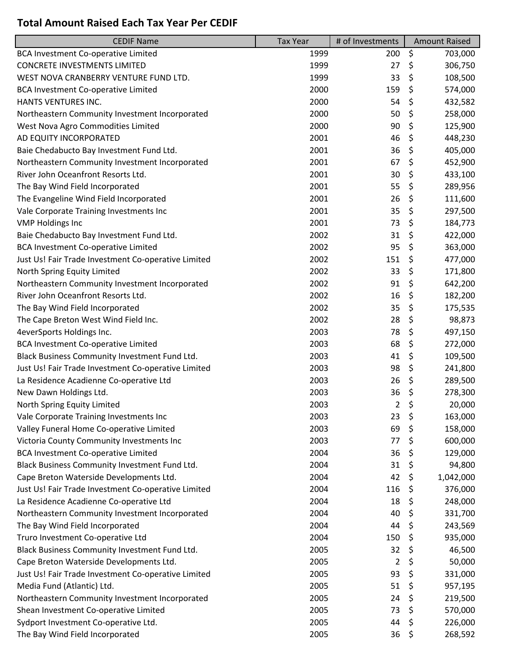## **Total Amount Raised Each Tax Year Per CEDIF**

| <b>CEDIF Name</b>                                   | <b>Tax Year</b> | # of Investments | <b>Amount Raised</b> |
|-----------------------------------------------------|-----------------|------------------|----------------------|
| <b>BCA Investment Co-operative Limited</b>          | 1999            | 200              | \$<br>703,000        |
| <b>CONCRETE INVESTMENTS LIMITED</b>                 | 1999            | 27               | \$<br>306,750        |
| WEST NOVA CRANBERRY VENTURE FUND LTD.               | 1999            | 33               | \$<br>108,500        |
| <b>BCA Investment Co-operative Limited</b>          | 2000            | 159              | \$<br>574,000        |
| HANTS VENTURES INC.                                 | 2000            | 54               | \$<br>432,582        |
| Northeastern Community Investment Incorporated      | 2000            | 50               | \$<br>258,000        |
| West Nova Agro Commodities Limited                  | 2000            | 90               | \$<br>125,900        |
| AD EQUITY INCORPORATED                              | 2001            | 46               | \$<br>448,230        |
| Baie Chedabucto Bay Investment Fund Ltd.            | 2001            | 36               | \$<br>405,000        |
| Northeastern Community Investment Incorporated      | 2001            | 67               | \$<br>452,900        |
| River John Oceanfront Resorts Ltd.                  | 2001            | 30               | \$<br>433,100        |
| The Bay Wind Field Incorporated                     | 2001            | 55               | \$<br>289,956        |
| The Evangeline Wind Field Incorporated              | 2001            | 26               | \$<br>111,600        |
| Vale Corporate Training Investments Inc             | 2001            | 35               | \$<br>297,500        |
| <b>VMP Holdings Inc</b>                             | 2001            | 73               | \$<br>184,773        |
| Baie Chedabucto Bay Investment Fund Ltd.            | 2002            | 31               | \$<br>422,000        |
| <b>BCA Investment Co-operative Limited</b>          | 2002            | 95               | \$<br>363,000        |
| Just Us! Fair Trade Investment Co-operative Limited | 2002            | 151              | \$<br>477,000        |
| North Spring Equity Limited                         | 2002            | 33               | \$<br>171,800        |
| Northeastern Community Investment Incorporated      | 2002            | 91               | \$<br>642,200        |
| River John Oceanfront Resorts Ltd.                  | 2002            | 16               | \$<br>182,200        |
| The Bay Wind Field Incorporated                     | 2002            | 35               | \$<br>175,535        |
| The Cape Breton West Wind Field Inc.                | 2002            | 28               | \$<br>98,873         |
| 4everSports Holdings Inc.                           | 2003            | 78               | \$<br>497,150        |
| <b>BCA Investment Co-operative Limited</b>          | 2003            | 68               | \$<br>272,000        |
| Black Business Community Investment Fund Ltd.       | 2003            | 41               | \$<br>109,500        |
| Just Us! Fair Trade Investment Co-operative Limited | 2003            | 98               | \$<br>241,800        |
| La Residence Acadienne Co-operative Ltd             | 2003            | 26               | \$<br>289,500        |
| New Dawn Holdings Ltd.                              | 2003            | 36               | \$<br>278,300        |
| North Spring Equity Limited                         | 2003            | 2                | \$<br>20,000         |
| Vale Corporate Training Investments Inc             | 2003            | 23               | \$<br>163,000        |
| Valley Funeral Home Co-operative Limited            | 2003            | 69               | \$<br>158,000        |
| Victoria County Community Investments Inc           | 2003            | 77               | \$<br>600,000        |
| <b>BCA Investment Co-operative Limited</b>          | 2004            | 36               | \$<br>129,000        |
| Black Business Community Investment Fund Ltd.       | 2004            | 31               | \$<br>94,800         |
| Cape Breton Waterside Developments Ltd.             | 2004            | 42               | \$<br>1,042,000      |
| Just Us! Fair Trade Investment Co-operative Limited | 2004            | 116              | \$<br>376,000        |
| La Residence Acadienne Co-operative Ltd             | 2004            | 18               | \$<br>248,000        |
| Northeastern Community Investment Incorporated      | 2004            | 40               | \$<br>331,700        |
| The Bay Wind Field Incorporated                     | 2004            | 44               | \$                   |
|                                                     | 2004            |                  | 243,569              |
| Truro Investment Co-operative Ltd                   |                 | 150              | \$<br>935,000        |
| Black Business Community Investment Fund Ltd.       | 2005            | 32               | \$<br>46,500         |
| Cape Breton Waterside Developments Ltd.             | 2005            | $\overline{2}$   | \$<br>50,000         |
| Just Us! Fair Trade Investment Co-operative Limited | 2005            | 93               | \$<br>331,000        |
| Media Fund (Atlantic) Ltd.                          | 2005            | 51               | \$<br>957,195        |
| Northeastern Community Investment Incorporated      | 2005            | 24               | \$<br>219,500        |
| Shean Investment Co-operative Limited               | 2005            | 73               | \$<br>570,000        |
| Sydport Investment Co-operative Ltd.                | 2005            | 44               | \$<br>226,000        |
| The Bay Wind Field Incorporated                     | 2005            | 36               | \$<br>268,592        |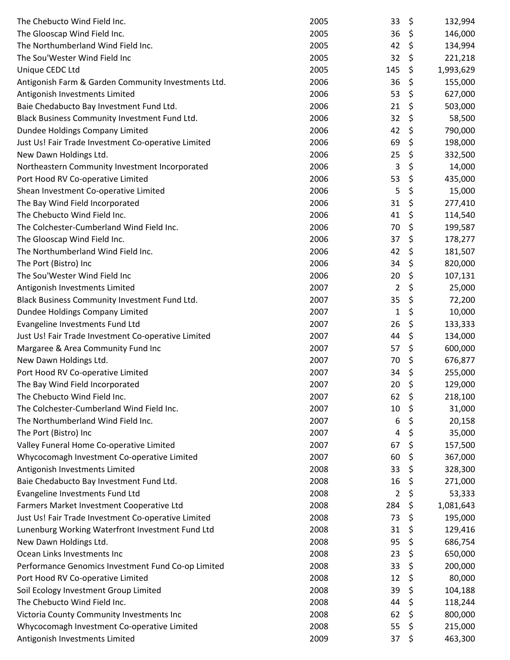| 36<br>\$<br>The Glooscap Wind Field Inc.<br>2005<br>146,000<br>The Northumberland Wind Field Inc.<br>\$<br>2005<br>42<br>134,994<br>\$<br>The Sou'Wester Wind Field Inc<br>32<br>2005<br>221,218<br>\$<br>Unique CEDC Ltd<br>2005<br>145<br>1,993,629<br>2006<br>36<br>\$<br>Antigonish Farm & Garden Community Investments Ltd.<br>155,000<br>\$<br>53<br>Antigonish Investments Limited<br>2006<br>627,000<br>\$<br>2006<br>21<br>Baie Chedabucto Bay Investment Fund Ltd.<br>503,000<br>\$<br>32<br>Black Business Community Investment Fund Ltd.<br>2006<br>58,500<br>\$<br>Dundee Holdings Company Limited<br>42<br>790,000<br>2006<br>\$<br>2006<br>69<br>198,000<br>Just Us! Fair Trade Investment Co-operative Limited<br>\$<br>25<br>New Dawn Holdings Ltd.<br>2006<br>332,500<br>\$<br>2006<br>3<br>Northeastern Community Investment Incorporated<br>14,000<br>\$<br>53<br>Port Hood RV Co-operative Limited<br>2006<br>435,000<br>\$<br>2006<br>5<br>Shean Investment Co-operative Limited<br>15,000<br>\$<br>2006<br>31<br>The Bay Wind Field Incorporated<br>277,410<br>\$<br>The Chebucto Wind Field Inc.<br>41<br>2006<br>114,540<br>\$<br>The Colchester-Cumberland Wind Field Inc.<br>2006<br>70<br>199,587<br>\$<br>The Glooscap Wind Field Inc.<br>2006<br>37<br>178,277<br>The Northumberland Wind Field Inc.<br>2006<br>42<br>\$<br>181,507<br>\$<br>The Port (Bistro) Inc<br>34<br>2006<br>820,000<br>\$<br>The Sou'Wester Wind Field Inc<br>2006<br>20<br>107,131<br>\$<br>2<br>Antigonish Investments Limited<br>2007<br>25,000<br>\$<br>35<br>Black Business Community Investment Fund Ltd.<br>2007<br>72,200<br>\$<br>Dundee Holdings Company Limited<br>2007<br>$\mathbf{1}$<br>10,000<br>26<br>\$<br>Evangeline Investments Fund Ltd<br>2007<br>133,333<br>\$<br>Just Us! Fair Trade Investment Co-operative Limited<br>2007<br>44<br>134,000<br>\$<br>Margaree & Area Community Fund Inc<br>2007<br>57<br>600,000<br>\$<br>New Dawn Holdings Ltd.<br>2007<br>70<br>676,877<br>\$<br>Port Hood RV Co-operative Limited<br>34<br>2007<br>255,000<br>\$<br>20<br>The Bay Wind Field Incorporated<br>2007<br>129,000<br>2007<br>62<br>\$<br>218,100<br>The Chebucto Wind Field Inc.<br>\$<br>The Colchester-Cumberland Wind Field Inc.<br>10<br>2007<br>31,000<br>\$<br>The Northumberland Wind Field Inc.<br>2007<br>6<br>20,158<br>\$<br>The Port (Bistro) Inc<br>2007<br>35,000<br>4<br>\$<br>Valley Funeral Home Co-operative Limited<br>2007<br>67<br>157,500<br>\$<br>Whycocomagh Investment Co-operative Limited<br>2007<br>60<br>367,000<br>\$<br>Antigonish Investments Limited<br>2008<br>33<br>328,300<br>\$<br>Baie Chedabucto Bay Investment Fund Ltd.<br>2008<br>16<br>271,000<br>\$<br>Evangeline Investments Fund Ltd<br>2008<br>2<br>53,333<br>\$<br>Farmers Market Investment Cooperative Ltd<br>2008<br>284<br>1,081,643<br>\$<br>73<br>Just Us! Fair Trade Investment Co-operative Limited<br>2008<br>195,000<br>\$<br>31<br>Lunenburg Working Waterfront Investment Fund Ltd<br>2008<br>129,416<br>\$<br>New Dawn Holdings Ltd.<br>2008<br>95<br>686,754<br>\$<br>Ocean Links Investments Inc<br>2008<br>23<br>650,000<br>\$<br>Performance Genomics Investment Fund Co-op Limited<br>2008<br>33<br>200,000<br>\$<br>12<br>Port Hood RV Co-operative Limited<br>2008<br>80,000<br>\$<br>39<br>Soil Ecology Investment Group Limited<br>2008<br>104,188<br>The Chebucto Wind Field Inc.<br>\$<br>2008<br>44<br>118,244<br>\$<br>Victoria County Community Investments Inc<br>2008<br>62<br>800,000<br>Whycocomagh Investment Co-operative Limited<br>2008<br>55<br>\$<br>215,000<br>\$<br>Antigonish Investments Limited<br>2009<br>37<br>463,300 | The Chebucto Wind Field Inc. | 2005 | 33 | \$<br>132,994 |
|-------------------------------------------------------------------------------------------------------------------------------------------------------------------------------------------------------------------------------------------------------------------------------------------------------------------------------------------------------------------------------------------------------------------------------------------------------------------------------------------------------------------------------------------------------------------------------------------------------------------------------------------------------------------------------------------------------------------------------------------------------------------------------------------------------------------------------------------------------------------------------------------------------------------------------------------------------------------------------------------------------------------------------------------------------------------------------------------------------------------------------------------------------------------------------------------------------------------------------------------------------------------------------------------------------------------------------------------------------------------------------------------------------------------------------------------------------------------------------------------------------------------------------------------------------------------------------------------------------------------------------------------------------------------------------------------------------------------------------------------------------------------------------------------------------------------------------------------------------------------------------------------------------------------------------------------------------------------------------------------------------------------------------------------------------------------------------------------------------------------------------------------------------------------------------------------------------------------------------------------------------------------------------------------------------------------------------------------------------------------------------------------------------------------------------------------------------------------------------------------------------------------------------------------------------------------------------------------------------------------------------------------------------------------------------------------------------------------------------------------------------------------------------------------------------------------------------------------------------------------------------------------------------------------------------------------------------------------------------------------------------------------------------------------------------------------------------------------------------------------------------------------------------------------------------------------------------------------------------------------------------------------------------------------------------------------------------------------------------------------------------------------------------------------------------------------------------------------------------------------------------------------------------------------------------------------------------------------------------------------------------------------------------------------------------------------------|------------------------------|------|----|---------------|
|                                                                                                                                                                                                                                                                                                                                                                                                                                                                                                                                                                                                                                                                                                                                                                                                                                                                                                                                                                                                                                                                                                                                                                                                                                                                                                                                                                                                                                                                                                                                                                                                                                                                                                                                                                                                                                                                                                                                                                                                                                                                                                                                                                                                                                                                                                                                                                                                                                                                                                                                                                                                                                                                                                                                                                                                                                                                                                                                                                                                                                                                                                                                                                                                                                                                                                                                                                                                                                                                                                                                                                                                                                                                                                 |                              |      |    |               |
|                                                                                                                                                                                                                                                                                                                                                                                                                                                                                                                                                                                                                                                                                                                                                                                                                                                                                                                                                                                                                                                                                                                                                                                                                                                                                                                                                                                                                                                                                                                                                                                                                                                                                                                                                                                                                                                                                                                                                                                                                                                                                                                                                                                                                                                                                                                                                                                                                                                                                                                                                                                                                                                                                                                                                                                                                                                                                                                                                                                                                                                                                                                                                                                                                                                                                                                                                                                                                                                                                                                                                                                                                                                                                                 |                              |      |    |               |
|                                                                                                                                                                                                                                                                                                                                                                                                                                                                                                                                                                                                                                                                                                                                                                                                                                                                                                                                                                                                                                                                                                                                                                                                                                                                                                                                                                                                                                                                                                                                                                                                                                                                                                                                                                                                                                                                                                                                                                                                                                                                                                                                                                                                                                                                                                                                                                                                                                                                                                                                                                                                                                                                                                                                                                                                                                                                                                                                                                                                                                                                                                                                                                                                                                                                                                                                                                                                                                                                                                                                                                                                                                                                                                 |                              |      |    |               |
|                                                                                                                                                                                                                                                                                                                                                                                                                                                                                                                                                                                                                                                                                                                                                                                                                                                                                                                                                                                                                                                                                                                                                                                                                                                                                                                                                                                                                                                                                                                                                                                                                                                                                                                                                                                                                                                                                                                                                                                                                                                                                                                                                                                                                                                                                                                                                                                                                                                                                                                                                                                                                                                                                                                                                                                                                                                                                                                                                                                                                                                                                                                                                                                                                                                                                                                                                                                                                                                                                                                                                                                                                                                                                                 |                              |      |    |               |
|                                                                                                                                                                                                                                                                                                                                                                                                                                                                                                                                                                                                                                                                                                                                                                                                                                                                                                                                                                                                                                                                                                                                                                                                                                                                                                                                                                                                                                                                                                                                                                                                                                                                                                                                                                                                                                                                                                                                                                                                                                                                                                                                                                                                                                                                                                                                                                                                                                                                                                                                                                                                                                                                                                                                                                                                                                                                                                                                                                                                                                                                                                                                                                                                                                                                                                                                                                                                                                                                                                                                                                                                                                                                                                 |                              |      |    |               |
|                                                                                                                                                                                                                                                                                                                                                                                                                                                                                                                                                                                                                                                                                                                                                                                                                                                                                                                                                                                                                                                                                                                                                                                                                                                                                                                                                                                                                                                                                                                                                                                                                                                                                                                                                                                                                                                                                                                                                                                                                                                                                                                                                                                                                                                                                                                                                                                                                                                                                                                                                                                                                                                                                                                                                                                                                                                                                                                                                                                                                                                                                                                                                                                                                                                                                                                                                                                                                                                                                                                                                                                                                                                                                                 |                              |      |    |               |
|                                                                                                                                                                                                                                                                                                                                                                                                                                                                                                                                                                                                                                                                                                                                                                                                                                                                                                                                                                                                                                                                                                                                                                                                                                                                                                                                                                                                                                                                                                                                                                                                                                                                                                                                                                                                                                                                                                                                                                                                                                                                                                                                                                                                                                                                                                                                                                                                                                                                                                                                                                                                                                                                                                                                                                                                                                                                                                                                                                                                                                                                                                                                                                                                                                                                                                                                                                                                                                                                                                                                                                                                                                                                                                 |                              |      |    |               |
|                                                                                                                                                                                                                                                                                                                                                                                                                                                                                                                                                                                                                                                                                                                                                                                                                                                                                                                                                                                                                                                                                                                                                                                                                                                                                                                                                                                                                                                                                                                                                                                                                                                                                                                                                                                                                                                                                                                                                                                                                                                                                                                                                                                                                                                                                                                                                                                                                                                                                                                                                                                                                                                                                                                                                                                                                                                                                                                                                                                                                                                                                                                                                                                                                                                                                                                                                                                                                                                                                                                                                                                                                                                                                                 |                              |      |    |               |
|                                                                                                                                                                                                                                                                                                                                                                                                                                                                                                                                                                                                                                                                                                                                                                                                                                                                                                                                                                                                                                                                                                                                                                                                                                                                                                                                                                                                                                                                                                                                                                                                                                                                                                                                                                                                                                                                                                                                                                                                                                                                                                                                                                                                                                                                                                                                                                                                                                                                                                                                                                                                                                                                                                                                                                                                                                                                                                                                                                                                                                                                                                                                                                                                                                                                                                                                                                                                                                                                                                                                                                                                                                                                                                 |                              |      |    |               |
|                                                                                                                                                                                                                                                                                                                                                                                                                                                                                                                                                                                                                                                                                                                                                                                                                                                                                                                                                                                                                                                                                                                                                                                                                                                                                                                                                                                                                                                                                                                                                                                                                                                                                                                                                                                                                                                                                                                                                                                                                                                                                                                                                                                                                                                                                                                                                                                                                                                                                                                                                                                                                                                                                                                                                                                                                                                                                                                                                                                                                                                                                                                                                                                                                                                                                                                                                                                                                                                                                                                                                                                                                                                                                                 |                              |      |    |               |
|                                                                                                                                                                                                                                                                                                                                                                                                                                                                                                                                                                                                                                                                                                                                                                                                                                                                                                                                                                                                                                                                                                                                                                                                                                                                                                                                                                                                                                                                                                                                                                                                                                                                                                                                                                                                                                                                                                                                                                                                                                                                                                                                                                                                                                                                                                                                                                                                                                                                                                                                                                                                                                                                                                                                                                                                                                                                                                                                                                                                                                                                                                                                                                                                                                                                                                                                                                                                                                                                                                                                                                                                                                                                                                 |                              |      |    |               |
|                                                                                                                                                                                                                                                                                                                                                                                                                                                                                                                                                                                                                                                                                                                                                                                                                                                                                                                                                                                                                                                                                                                                                                                                                                                                                                                                                                                                                                                                                                                                                                                                                                                                                                                                                                                                                                                                                                                                                                                                                                                                                                                                                                                                                                                                                                                                                                                                                                                                                                                                                                                                                                                                                                                                                                                                                                                                                                                                                                                                                                                                                                                                                                                                                                                                                                                                                                                                                                                                                                                                                                                                                                                                                                 |                              |      |    |               |
|                                                                                                                                                                                                                                                                                                                                                                                                                                                                                                                                                                                                                                                                                                                                                                                                                                                                                                                                                                                                                                                                                                                                                                                                                                                                                                                                                                                                                                                                                                                                                                                                                                                                                                                                                                                                                                                                                                                                                                                                                                                                                                                                                                                                                                                                                                                                                                                                                                                                                                                                                                                                                                                                                                                                                                                                                                                                                                                                                                                                                                                                                                                                                                                                                                                                                                                                                                                                                                                                                                                                                                                                                                                                                                 |                              |      |    |               |
|                                                                                                                                                                                                                                                                                                                                                                                                                                                                                                                                                                                                                                                                                                                                                                                                                                                                                                                                                                                                                                                                                                                                                                                                                                                                                                                                                                                                                                                                                                                                                                                                                                                                                                                                                                                                                                                                                                                                                                                                                                                                                                                                                                                                                                                                                                                                                                                                                                                                                                                                                                                                                                                                                                                                                                                                                                                                                                                                                                                                                                                                                                                                                                                                                                                                                                                                                                                                                                                                                                                                                                                                                                                                                                 |                              |      |    |               |
|                                                                                                                                                                                                                                                                                                                                                                                                                                                                                                                                                                                                                                                                                                                                                                                                                                                                                                                                                                                                                                                                                                                                                                                                                                                                                                                                                                                                                                                                                                                                                                                                                                                                                                                                                                                                                                                                                                                                                                                                                                                                                                                                                                                                                                                                                                                                                                                                                                                                                                                                                                                                                                                                                                                                                                                                                                                                                                                                                                                                                                                                                                                                                                                                                                                                                                                                                                                                                                                                                                                                                                                                                                                                                                 |                              |      |    |               |
|                                                                                                                                                                                                                                                                                                                                                                                                                                                                                                                                                                                                                                                                                                                                                                                                                                                                                                                                                                                                                                                                                                                                                                                                                                                                                                                                                                                                                                                                                                                                                                                                                                                                                                                                                                                                                                                                                                                                                                                                                                                                                                                                                                                                                                                                                                                                                                                                                                                                                                                                                                                                                                                                                                                                                                                                                                                                                                                                                                                                                                                                                                                                                                                                                                                                                                                                                                                                                                                                                                                                                                                                                                                                                                 |                              |      |    |               |
|                                                                                                                                                                                                                                                                                                                                                                                                                                                                                                                                                                                                                                                                                                                                                                                                                                                                                                                                                                                                                                                                                                                                                                                                                                                                                                                                                                                                                                                                                                                                                                                                                                                                                                                                                                                                                                                                                                                                                                                                                                                                                                                                                                                                                                                                                                                                                                                                                                                                                                                                                                                                                                                                                                                                                                                                                                                                                                                                                                                                                                                                                                                                                                                                                                                                                                                                                                                                                                                                                                                                                                                                                                                                                                 |                              |      |    |               |
|                                                                                                                                                                                                                                                                                                                                                                                                                                                                                                                                                                                                                                                                                                                                                                                                                                                                                                                                                                                                                                                                                                                                                                                                                                                                                                                                                                                                                                                                                                                                                                                                                                                                                                                                                                                                                                                                                                                                                                                                                                                                                                                                                                                                                                                                                                                                                                                                                                                                                                                                                                                                                                                                                                                                                                                                                                                                                                                                                                                                                                                                                                                                                                                                                                                                                                                                                                                                                                                                                                                                                                                                                                                                                                 |                              |      |    |               |
|                                                                                                                                                                                                                                                                                                                                                                                                                                                                                                                                                                                                                                                                                                                                                                                                                                                                                                                                                                                                                                                                                                                                                                                                                                                                                                                                                                                                                                                                                                                                                                                                                                                                                                                                                                                                                                                                                                                                                                                                                                                                                                                                                                                                                                                                                                                                                                                                                                                                                                                                                                                                                                                                                                                                                                                                                                                                                                                                                                                                                                                                                                                                                                                                                                                                                                                                                                                                                                                                                                                                                                                                                                                                                                 |                              |      |    |               |
|                                                                                                                                                                                                                                                                                                                                                                                                                                                                                                                                                                                                                                                                                                                                                                                                                                                                                                                                                                                                                                                                                                                                                                                                                                                                                                                                                                                                                                                                                                                                                                                                                                                                                                                                                                                                                                                                                                                                                                                                                                                                                                                                                                                                                                                                                                                                                                                                                                                                                                                                                                                                                                                                                                                                                                                                                                                                                                                                                                                                                                                                                                                                                                                                                                                                                                                                                                                                                                                                                                                                                                                                                                                                                                 |                              |      |    |               |
|                                                                                                                                                                                                                                                                                                                                                                                                                                                                                                                                                                                                                                                                                                                                                                                                                                                                                                                                                                                                                                                                                                                                                                                                                                                                                                                                                                                                                                                                                                                                                                                                                                                                                                                                                                                                                                                                                                                                                                                                                                                                                                                                                                                                                                                                                                                                                                                                                                                                                                                                                                                                                                                                                                                                                                                                                                                                                                                                                                                                                                                                                                                                                                                                                                                                                                                                                                                                                                                                                                                                                                                                                                                                                                 |                              |      |    |               |
|                                                                                                                                                                                                                                                                                                                                                                                                                                                                                                                                                                                                                                                                                                                                                                                                                                                                                                                                                                                                                                                                                                                                                                                                                                                                                                                                                                                                                                                                                                                                                                                                                                                                                                                                                                                                                                                                                                                                                                                                                                                                                                                                                                                                                                                                                                                                                                                                                                                                                                                                                                                                                                                                                                                                                                                                                                                                                                                                                                                                                                                                                                                                                                                                                                                                                                                                                                                                                                                                                                                                                                                                                                                                                                 |                              |      |    |               |
|                                                                                                                                                                                                                                                                                                                                                                                                                                                                                                                                                                                                                                                                                                                                                                                                                                                                                                                                                                                                                                                                                                                                                                                                                                                                                                                                                                                                                                                                                                                                                                                                                                                                                                                                                                                                                                                                                                                                                                                                                                                                                                                                                                                                                                                                                                                                                                                                                                                                                                                                                                                                                                                                                                                                                                                                                                                                                                                                                                                                                                                                                                                                                                                                                                                                                                                                                                                                                                                                                                                                                                                                                                                                                                 |                              |      |    |               |
|                                                                                                                                                                                                                                                                                                                                                                                                                                                                                                                                                                                                                                                                                                                                                                                                                                                                                                                                                                                                                                                                                                                                                                                                                                                                                                                                                                                                                                                                                                                                                                                                                                                                                                                                                                                                                                                                                                                                                                                                                                                                                                                                                                                                                                                                                                                                                                                                                                                                                                                                                                                                                                                                                                                                                                                                                                                                                                                                                                                                                                                                                                                                                                                                                                                                                                                                                                                                                                                                                                                                                                                                                                                                                                 |                              |      |    |               |
|                                                                                                                                                                                                                                                                                                                                                                                                                                                                                                                                                                                                                                                                                                                                                                                                                                                                                                                                                                                                                                                                                                                                                                                                                                                                                                                                                                                                                                                                                                                                                                                                                                                                                                                                                                                                                                                                                                                                                                                                                                                                                                                                                                                                                                                                                                                                                                                                                                                                                                                                                                                                                                                                                                                                                                                                                                                                                                                                                                                                                                                                                                                                                                                                                                                                                                                                                                                                                                                                                                                                                                                                                                                                                                 |                              |      |    |               |
|                                                                                                                                                                                                                                                                                                                                                                                                                                                                                                                                                                                                                                                                                                                                                                                                                                                                                                                                                                                                                                                                                                                                                                                                                                                                                                                                                                                                                                                                                                                                                                                                                                                                                                                                                                                                                                                                                                                                                                                                                                                                                                                                                                                                                                                                                                                                                                                                                                                                                                                                                                                                                                                                                                                                                                                                                                                                                                                                                                                                                                                                                                                                                                                                                                                                                                                                                                                                                                                                                                                                                                                                                                                                                                 |                              |      |    |               |
|                                                                                                                                                                                                                                                                                                                                                                                                                                                                                                                                                                                                                                                                                                                                                                                                                                                                                                                                                                                                                                                                                                                                                                                                                                                                                                                                                                                                                                                                                                                                                                                                                                                                                                                                                                                                                                                                                                                                                                                                                                                                                                                                                                                                                                                                                                                                                                                                                                                                                                                                                                                                                                                                                                                                                                                                                                                                                                                                                                                                                                                                                                                                                                                                                                                                                                                                                                                                                                                                                                                                                                                                                                                                                                 |                              |      |    |               |
|                                                                                                                                                                                                                                                                                                                                                                                                                                                                                                                                                                                                                                                                                                                                                                                                                                                                                                                                                                                                                                                                                                                                                                                                                                                                                                                                                                                                                                                                                                                                                                                                                                                                                                                                                                                                                                                                                                                                                                                                                                                                                                                                                                                                                                                                                                                                                                                                                                                                                                                                                                                                                                                                                                                                                                                                                                                                                                                                                                                                                                                                                                                                                                                                                                                                                                                                                                                                                                                                                                                                                                                                                                                                                                 |                              |      |    |               |
|                                                                                                                                                                                                                                                                                                                                                                                                                                                                                                                                                                                                                                                                                                                                                                                                                                                                                                                                                                                                                                                                                                                                                                                                                                                                                                                                                                                                                                                                                                                                                                                                                                                                                                                                                                                                                                                                                                                                                                                                                                                                                                                                                                                                                                                                                                                                                                                                                                                                                                                                                                                                                                                                                                                                                                                                                                                                                                                                                                                                                                                                                                                                                                                                                                                                                                                                                                                                                                                                                                                                                                                                                                                                                                 |                              |      |    |               |
|                                                                                                                                                                                                                                                                                                                                                                                                                                                                                                                                                                                                                                                                                                                                                                                                                                                                                                                                                                                                                                                                                                                                                                                                                                                                                                                                                                                                                                                                                                                                                                                                                                                                                                                                                                                                                                                                                                                                                                                                                                                                                                                                                                                                                                                                                                                                                                                                                                                                                                                                                                                                                                                                                                                                                                                                                                                                                                                                                                                                                                                                                                                                                                                                                                                                                                                                                                                                                                                                                                                                                                                                                                                                                                 |                              |      |    |               |
|                                                                                                                                                                                                                                                                                                                                                                                                                                                                                                                                                                                                                                                                                                                                                                                                                                                                                                                                                                                                                                                                                                                                                                                                                                                                                                                                                                                                                                                                                                                                                                                                                                                                                                                                                                                                                                                                                                                                                                                                                                                                                                                                                                                                                                                                                                                                                                                                                                                                                                                                                                                                                                                                                                                                                                                                                                                                                                                                                                                                                                                                                                                                                                                                                                                                                                                                                                                                                                                                                                                                                                                                                                                                                                 |                              |      |    |               |
|                                                                                                                                                                                                                                                                                                                                                                                                                                                                                                                                                                                                                                                                                                                                                                                                                                                                                                                                                                                                                                                                                                                                                                                                                                                                                                                                                                                                                                                                                                                                                                                                                                                                                                                                                                                                                                                                                                                                                                                                                                                                                                                                                                                                                                                                                                                                                                                                                                                                                                                                                                                                                                                                                                                                                                                                                                                                                                                                                                                                                                                                                                                                                                                                                                                                                                                                                                                                                                                                                                                                                                                                                                                                                                 |                              |      |    |               |
|                                                                                                                                                                                                                                                                                                                                                                                                                                                                                                                                                                                                                                                                                                                                                                                                                                                                                                                                                                                                                                                                                                                                                                                                                                                                                                                                                                                                                                                                                                                                                                                                                                                                                                                                                                                                                                                                                                                                                                                                                                                                                                                                                                                                                                                                                                                                                                                                                                                                                                                                                                                                                                                                                                                                                                                                                                                                                                                                                                                                                                                                                                                                                                                                                                                                                                                                                                                                                                                                                                                                                                                                                                                                                                 |                              |      |    |               |
|                                                                                                                                                                                                                                                                                                                                                                                                                                                                                                                                                                                                                                                                                                                                                                                                                                                                                                                                                                                                                                                                                                                                                                                                                                                                                                                                                                                                                                                                                                                                                                                                                                                                                                                                                                                                                                                                                                                                                                                                                                                                                                                                                                                                                                                                                                                                                                                                                                                                                                                                                                                                                                                                                                                                                                                                                                                                                                                                                                                                                                                                                                                                                                                                                                                                                                                                                                                                                                                                                                                                                                                                                                                                                                 |                              |      |    |               |
|                                                                                                                                                                                                                                                                                                                                                                                                                                                                                                                                                                                                                                                                                                                                                                                                                                                                                                                                                                                                                                                                                                                                                                                                                                                                                                                                                                                                                                                                                                                                                                                                                                                                                                                                                                                                                                                                                                                                                                                                                                                                                                                                                                                                                                                                                                                                                                                                                                                                                                                                                                                                                                                                                                                                                                                                                                                                                                                                                                                                                                                                                                                                                                                                                                                                                                                                                                                                                                                                                                                                                                                                                                                                                                 |                              |      |    |               |
|                                                                                                                                                                                                                                                                                                                                                                                                                                                                                                                                                                                                                                                                                                                                                                                                                                                                                                                                                                                                                                                                                                                                                                                                                                                                                                                                                                                                                                                                                                                                                                                                                                                                                                                                                                                                                                                                                                                                                                                                                                                                                                                                                                                                                                                                                                                                                                                                                                                                                                                                                                                                                                                                                                                                                                                                                                                                                                                                                                                                                                                                                                                                                                                                                                                                                                                                                                                                                                                                                                                                                                                                                                                                                                 |                              |      |    |               |
|                                                                                                                                                                                                                                                                                                                                                                                                                                                                                                                                                                                                                                                                                                                                                                                                                                                                                                                                                                                                                                                                                                                                                                                                                                                                                                                                                                                                                                                                                                                                                                                                                                                                                                                                                                                                                                                                                                                                                                                                                                                                                                                                                                                                                                                                                                                                                                                                                                                                                                                                                                                                                                                                                                                                                                                                                                                                                                                                                                                                                                                                                                                                                                                                                                                                                                                                                                                                                                                                                                                                                                                                                                                                                                 |                              |      |    |               |
|                                                                                                                                                                                                                                                                                                                                                                                                                                                                                                                                                                                                                                                                                                                                                                                                                                                                                                                                                                                                                                                                                                                                                                                                                                                                                                                                                                                                                                                                                                                                                                                                                                                                                                                                                                                                                                                                                                                                                                                                                                                                                                                                                                                                                                                                                                                                                                                                                                                                                                                                                                                                                                                                                                                                                                                                                                                                                                                                                                                                                                                                                                                                                                                                                                                                                                                                                                                                                                                                                                                                                                                                                                                                                                 |                              |      |    |               |
|                                                                                                                                                                                                                                                                                                                                                                                                                                                                                                                                                                                                                                                                                                                                                                                                                                                                                                                                                                                                                                                                                                                                                                                                                                                                                                                                                                                                                                                                                                                                                                                                                                                                                                                                                                                                                                                                                                                                                                                                                                                                                                                                                                                                                                                                                                                                                                                                                                                                                                                                                                                                                                                                                                                                                                                                                                                                                                                                                                                                                                                                                                                                                                                                                                                                                                                                                                                                                                                                                                                                                                                                                                                                                                 |                              |      |    |               |
|                                                                                                                                                                                                                                                                                                                                                                                                                                                                                                                                                                                                                                                                                                                                                                                                                                                                                                                                                                                                                                                                                                                                                                                                                                                                                                                                                                                                                                                                                                                                                                                                                                                                                                                                                                                                                                                                                                                                                                                                                                                                                                                                                                                                                                                                                                                                                                                                                                                                                                                                                                                                                                                                                                                                                                                                                                                                                                                                                                                                                                                                                                                                                                                                                                                                                                                                                                                                                                                                                                                                                                                                                                                                                                 |                              |      |    |               |
|                                                                                                                                                                                                                                                                                                                                                                                                                                                                                                                                                                                                                                                                                                                                                                                                                                                                                                                                                                                                                                                                                                                                                                                                                                                                                                                                                                                                                                                                                                                                                                                                                                                                                                                                                                                                                                                                                                                                                                                                                                                                                                                                                                                                                                                                                                                                                                                                                                                                                                                                                                                                                                                                                                                                                                                                                                                                                                                                                                                                                                                                                                                                                                                                                                                                                                                                                                                                                                                                                                                                                                                                                                                                                                 |                              |      |    |               |
|                                                                                                                                                                                                                                                                                                                                                                                                                                                                                                                                                                                                                                                                                                                                                                                                                                                                                                                                                                                                                                                                                                                                                                                                                                                                                                                                                                                                                                                                                                                                                                                                                                                                                                                                                                                                                                                                                                                                                                                                                                                                                                                                                                                                                                                                                                                                                                                                                                                                                                                                                                                                                                                                                                                                                                                                                                                                                                                                                                                                                                                                                                                                                                                                                                                                                                                                                                                                                                                                                                                                                                                                                                                                                                 |                              |      |    |               |
|                                                                                                                                                                                                                                                                                                                                                                                                                                                                                                                                                                                                                                                                                                                                                                                                                                                                                                                                                                                                                                                                                                                                                                                                                                                                                                                                                                                                                                                                                                                                                                                                                                                                                                                                                                                                                                                                                                                                                                                                                                                                                                                                                                                                                                                                                                                                                                                                                                                                                                                                                                                                                                                                                                                                                                                                                                                                                                                                                                                                                                                                                                                                                                                                                                                                                                                                                                                                                                                                                                                                                                                                                                                                                                 |                              |      |    |               |
|                                                                                                                                                                                                                                                                                                                                                                                                                                                                                                                                                                                                                                                                                                                                                                                                                                                                                                                                                                                                                                                                                                                                                                                                                                                                                                                                                                                                                                                                                                                                                                                                                                                                                                                                                                                                                                                                                                                                                                                                                                                                                                                                                                                                                                                                                                                                                                                                                                                                                                                                                                                                                                                                                                                                                                                                                                                                                                                                                                                                                                                                                                                                                                                                                                                                                                                                                                                                                                                                                                                                                                                                                                                                                                 |                              |      |    |               |
|                                                                                                                                                                                                                                                                                                                                                                                                                                                                                                                                                                                                                                                                                                                                                                                                                                                                                                                                                                                                                                                                                                                                                                                                                                                                                                                                                                                                                                                                                                                                                                                                                                                                                                                                                                                                                                                                                                                                                                                                                                                                                                                                                                                                                                                                                                                                                                                                                                                                                                                                                                                                                                                                                                                                                                                                                                                                                                                                                                                                                                                                                                                                                                                                                                                                                                                                                                                                                                                                                                                                                                                                                                                                                                 |                              |      |    |               |
|                                                                                                                                                                                                                                                                                                                                                                                                                                                                                                                                                                                                                                                                                                                                                                                                                                                                                                                                                                                                                                                                                                                                                                                                                                                                                                                                                                                                                                                                                                                                                                                                                                                                                                                                                                                                                                                                                                                                                                                                                                                                                                                                                                                                                                                                                                                                                                                                                                                                                                                                                                                                                                                                                                                                                                                                                                                                                                                                                                                                                                                                                                                                                                                                                                                                                                                                                                                                                                                                                                                                                                                                                                                                                                 |                              |      |    |               |
|                                                                                                                                                                                                                                                                                                                                                                                                                                                                                                                                                                                                                                                                                                                                                                                                                                                                                                                                                                                                                                                                                                                                                                                                                                                                                                                                                                                                                                                                                                                                                                                                                                                                                                                                                                                                                                                                                                                                                                                                                                                                                                                                                                                                                                                                                                                                                                                                                                                                                                                                                                                                                                                                                                                                                                                                                                                                                                                                                                                                                                                                                                                                                                                                                                                                                                                                                                                                                                                                                                                                                                                                                                                                                                 |                              |      |    |               |
|                                                                                                                                                                                                                                                                                                                                                                                                                                                                                                                                                                                                                                                                                                                                                                                                                                                                                                                                                                                                                                                                                                                                                                                                                                                                                                                                                                                                                                                                                                                                                                                                                                                                                                                                                                                                                                                                                                                                                                                                                                                                                                                                                                                                                                                                                                                                                                                                                                                                                                                                                                                                                                                                                                                                                                                                                                                                                                                                                                                                                                                                                                                                                                                                                                                                                                                                                                                                                                                                                                                                                                                                                                                                                                 |                              |      |    |               |
|                                                                                                                                                                                                                                                                                                                                                                                                                                                                                                                                                                                                                                                                                                                                                                                                                                                                                                                                                                                                                                                                                                                                                                                                                                                                                                                                                                                                                                                                                                                                                                                                                                                                                                                                                                                                                                                                                                                                                                                                                                                                                                                                                                                                                                                                                                                                                                                                                                                                                                                                                                                                                                                                                                                                                                                                                                                                                                                                                                                                                                                                                                                                                                                                                                                                                                                                                                                                                                                                                                                                                                                                                                                                                                 |                              |      |    |               |
|                                                                                                                                                                                                                                                                                                                                                                                                                                                                                                                                                                                                                                                                                                                                                                                                                                                                                                                                                                                                                                                                                                                                                                                                                                                                                                                                                                                                                                                                                                                                                                                                                                                                                                                                                                                                                                                                                                                                                                                                                                                                                                                                                                                                                                                                                                                                                                                                                                                                                                                                                                                                                                                                                                                                                                                                                                                                                                                                                                                                                                                                                                                                                                                                                                                                                                                                                                                                                                                                                                                                                                                                                                                                                                 |                              |      |    |               |
|                                                                                                                                                                                                                                                                                                                                                                                                                                                                                                                                                                                                                                                                                                                                                                                                                                                                                                                                                                                                                                                                                                                                                                                                                                                                                                                                                                                                                                                                                                                                                                                                                                                                                                                                                                                                                                                                                                                                                                                                                                                                                                                                                                                                                                                                                                                                                                                                                                                                                                                                                                                                                                                                                                                                                                                                                                                                                                                                                                                                                                                                                                                                                                                                                                                                                                                                                                                                                                                                                                                                                                                                                                                                                                 |                              |      |    |               |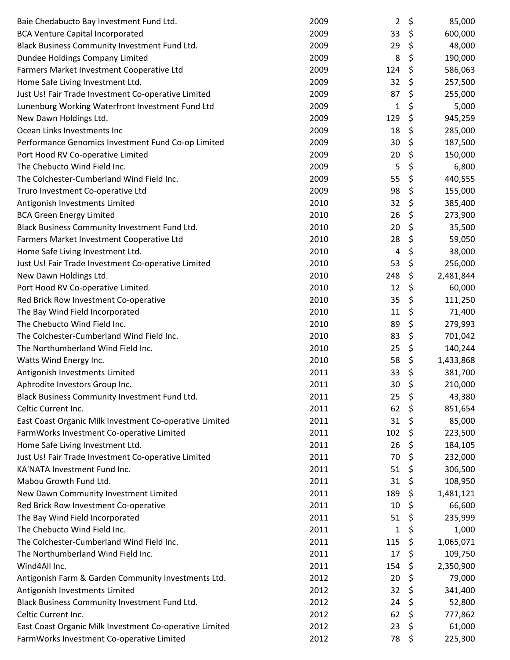| Baie Chedabucto Bay Investment Fund Ltd.                | 2009 | 2   | \$<br>85,000    |
|---------------------------------------------------------|------|-----|-----------------|
| <b>BCA Venture Capital Incorporated</b>                 | 2009 | 33  | \$<br>600,000   |
| Black Business Community Investment Fund Ltd.           | 2009 | 29  | \$<br>48,000    |
| Dundee Holdings Company Limited                         | 2009 | 8   | \$<br>190,000   |
| Farmers Market Investment Cooperative Ltd               | 2009 | 124 | \$<br>586,063   |
| Home Safe Living Investment Ltd.                        | 2009 | 32  | \$<br>257,500   |
| Just Us! Fair Trade Investment Co-operative Limited     | 2009 | 87  | \$<br>255,000   |
| Lunenburg Working Waterfront Investment Fund Ltd        | 2009 | 1   | \$<br>5,000     |
| New Dawn Holdings Ltd.                                  | 2009 | 129 | \$<br>945,259   |
| Ocean Links Investments Inc                             | 2009 | 18  | \$<br>285,000   |
| Performance Genomics Investment Fund Co-op Limited      | 2009 | 30  | \$<br>187,500   |
| Port Hood RV Co-operative Limited                       | 2009 | 20  | \$<br>150,000   |
| The Chebucto Wind Field Inc.                            | 2009 | 5   | \$<br>6,800     |
| The Colchester-Cumberland Wind Field Inc.               | 2009 | 55  | \$<br>440,555   |
| Truro Investment Co-operative Ltd                       | 2009 | 98  | \$<br>155,000   |
| Antigonish Investments Limited                          | 2010 | 32  | \$<br>385,400   |
| <b>BCA Green Energy Limited</b>                         | 2010 | 26  | \$<br>273,900   |
| Black Business Community Investment Fund Ltd.           | 2010 | 20  | \$<br>35,500    |
| Farmers Market Investment Cooperative Ltd               | 2010 | 28  | \$<br>59,050    |
| Home Safe Living Investment Ltd.                        | 2010 | 4   | \$<br>38,000    |
| Just Us! Fair Trade Investment Co-operative Limited     | 2010 | 53  | \$<br>256,000   |
| New Dawn Holdings Ltd.                                  | 2010 | 248 | \$<br>2,481,844 |
| Port Hood RV Co-operative Limited                       | 2010 | 12  | \$<br>60,000    |
| Red Brick Row Investment Co-operative                   | 2010 | 35  | \$<br>111,250   |
| The Bay Wind Field Incorporated                         | 2010 | 11  | \$<br>71,400    |
| The Chebucto Wind Field Inc.                            | 2010 | 89  | \$<br>279,993   |
| The Colchester-Cumberland Wind Field Inc.               | 2010 | 83  | \$<br>701,042   |
| The Northumberland Wind Field Inc.                      | 2010 | 25  | \$<br>140,244   |
| Watts Wind Energy Inc.                                  | 2010 | 58  | \$<br>1,433,868 |
| Antigonish Investments Limited                          | 2011 | 33  | \$<br>381,700   |
| Aphrodite Investors Group Inc.                          | 2011 | 30  | \$<br>210,000   |
| Black Business Community Investment Fund Ltd.           | 2011 | 25  | \$<br>43,380    |
| Celtic Current Inc.                                     | 2011 | 62  | \$<br>851,654   |
| East Coast Organic Milk Investment Co-operative Limited | 2011 | 31  | \$<br>85,000    |
| FarmWorks Investment Co-operative Limited               | 2011 | 102 | \$<br>223,500   |
| Home Safe Living Investment Ltd.                        | 2011 | 26  | \$<br>184,105   |
| Just Us! Fair Trade Investment Co-operative Limited     | 2011 | 70  | \$<br>232,000   |
| KA'NATA Investment Fund Inc.                            | 2011 | 51  | \$<br>306,500   |
| Mabou Growth Fund Ltd.                                  | 2011 | 31  | \$<br>108,950   |
| New Dawn Community Investment Limited                   | 2011 | 189 | \$<br>1,481,121 |
| Red Brick Row Investment Co-operative                   | 2011 | 10  | \$<br>66,600    |
| The Bay Wind Field Incorporated                         | 2011 | 51  | \$<br>235,999   |
| The Chebucto Wind Field Inc.                            | 2011 | 1   | \$<br>1,000     |
| The Colchester-Cumberland Wind Field Inc.               | 2011 | 115 | \$<br>1,065,071 |
| The Northumberland Wind Field Inc.                      | 2011 | 17  | \$<br>109,750   |
| Wind4All Inc.                                           | 2011 | 154 | \$<br>2,350,900 |
| Antigonish Farm & Garden Community Investments Ltd.     | 2012 | 20  | \$<br>79,000    |
| Antigonish Investments Limited                          | 2012 | 32  | \$<br>341,400   |
| Black Business Community Investment Fund Ltd.           | 2012 | 24  | \$<br>52,800    |
| Celtic Current Inc.                                     | 2012 | 62  | \$<br>777,862   |
| East Coast Organic Milk Investment Co-operative Limited | 2012 | 23  | \$<br>61,000    |
| FarmWorks Investment Co-operative Limited               | 2012 | 78  | \$<br>225,300   |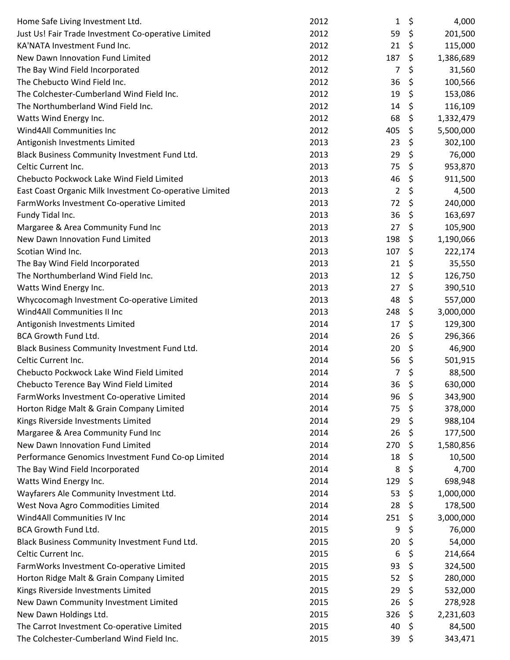| Home Safe Living Investment Ltd.                        | 2012 | 1              | \$<br>4,000     |
|---------------------------------------------------------|------|----------------|-----------------|
| Just Us! Fair Trade Investment Co-operative Limited     | 2012 | 59             | \$<br>201,500   |
| KA'NATA Investment Fund Inc.                            | 2012 | 21             | \$<br>115,000   |
| New Dawn Innovation Fund Limited                        | 2012 | 187            | \$<br>1,386,689 |
| The Bay Wind Field Incorporated                         | 2012 | 7              | \$<br>31,560    |
| The Chebucto Wind Field Inc.                            | 2012 | 36             | \$<br>100,566   |
| The Colchester-Cumberland Wind Field Inc.               | 2012 | 19             | \$<br>153,086   |
| The Northumberland Wind Field Inc.                      | 2012 | 14             | \$<br>116,109   |
| Watts Wind Energy Inc.                                  | 2012 | 68             | \$<br>1,332,479 |
| Wind4All Communities Inc                                | 2012 | 405            | \$<br>5,500,000 |
| Antigonish Investments Limited                          | 2013 | 23             | \$<br>302,100   |
| Black Business Community Investment Fund Ltd.           | 2013 | 29             | \$<br>76,000    |
| Celtic Current Inc.                                     | 2013 | 75             | \$<br>953,870   |
| Chebucto Pockwock Lake Wind Field Limited               | 2013 | 46             | \$<br>911,500   |
| East Coast Organic Milk Investment Co-operative Limited | 2013 | $\overline{2}$ | \$<br>4,500     |
| FarmWorks Investment Co-operative Limited               | 2013 | 72             | \$<br>240,000   |
| Fundy Tidal Inc.                                        | 2013 | 36             | \$<br>163,697   |
| Margaree & Area Community Fund Inc                      | 2013 | 27             | \$<br>105,900   |
| New Dawn Innovation Fund Limited                        | 2013 | 198            | \$<br>1,190,066 |
| Scotian Wind Inc.                                       | 2013 | 107            | \$<br>222,174   |
| The Bay Wind Field Incorporated                         | 2013 | 21             | \$<br>35,550    |
| The Northumberland Wind Field Inc.                      | 2013 | 12             | \$<br>126,750   |
| Watts Wind Energy Inc.                                  | 2013 | 27             | \$<br>390,510   |
| Whycocomagh Investment Co-operative Limited             | 2013 | 48             | \$<br>557,000   |
| Wind4All Communities II Inc                             | 2013 | 248            | \$<br>3,000,000 |
| Antigonish Investments Limited                          | 2014 | 17             | \$<br>129,300   |
| BCA Growth Fund Ltd.                                    | 2014 | 26             | \$<br>296,366   |
| Black Business Community Investment Fund Ltd.           | 2014 | 20             | \$<br>46,900    |
| Celtic Current Inc.                                     | 2014 | 56             | \$<br>501,915   |
| Chebucto Pockwock Lake Wind Field Limited               | 2014 | 7              | \$<br>88,500    |
| Chebucto Terence Bay Wind Field Limited                 | 2014 | 36             | \$<br>630,000   |
| FarmWorks Investment Co-operative Limited               | 2014 | 96             | \$<br>343,900   |
| Horton Ridge Malt & Grain Company Limited               | 2014 | 75             | \$<br>378,000   |
| Kings Riverside Investments Limited                     | 2014 | 29             | \$<br>988,104   |
| Margaree & Area Community Fund Inc                      | 2014 | 26             | \$<br>177,500   |
| New Dawn Innovation Fund Limited                        | 2014 | 270            | \$<br>1,580,856 |
| Performance Genomics Investment Fund Co-op Limited      | 2014 | 18             | \$<br>10,500    |
| The Bay Wind Field Incorporated                         | 2014 | 8              | \$<br>4,700     |
| Watts Wind Energy Inc.                                  | 2014 | 129            | \$<br>698,948   |
| Wayfarers Ale Community Investment Ltd.                 | 2014 | 53             | \$<br>1,000,000 |
| West Nova Agro Commodities Limited                      | 2014 | 28             | \$<br>178,500   |
| Wind4All Communities IV Inc                             | 2014 | 251            | \$<br>3,000,000 |
| BCA Growth Fund Ltd.                                    | 2015 | 9              | \$<br>76,000    |
| Black Business Community Investment Fund Ltd.           | 2015 | 20             | \$<br>54,000    |
| Celtic Current Inc.                                     | 2015 | 6              | \$<br>214,664   |
| FarmWorks Investment Co-operative Limited               | 2015 | 93             | \$<br>324,500   |
| Horton Ridge Malt & Grain Company Limited               | 2015 | 52             | \$<br>280,000   |
| Kings Riverside Investments Limited                     | 2015 | 29             | \$<br>532,000   |
| New Dawn Community Investment Limited                   | 2015 | 26             | \$<br>278,928   |
| New Dawn Holdings Ltd.                                  | 2015 | 326            | \$<br>2,231,603 |
| The Carrot Investment Co-operative Limited              | 2015 | 40             | \$<br>84,500    |
| The Colchester-Cumberland Wind Field Inc.               | 2015 | 39             | \$<br>343,471   |
|                                                         |      |                |                 |